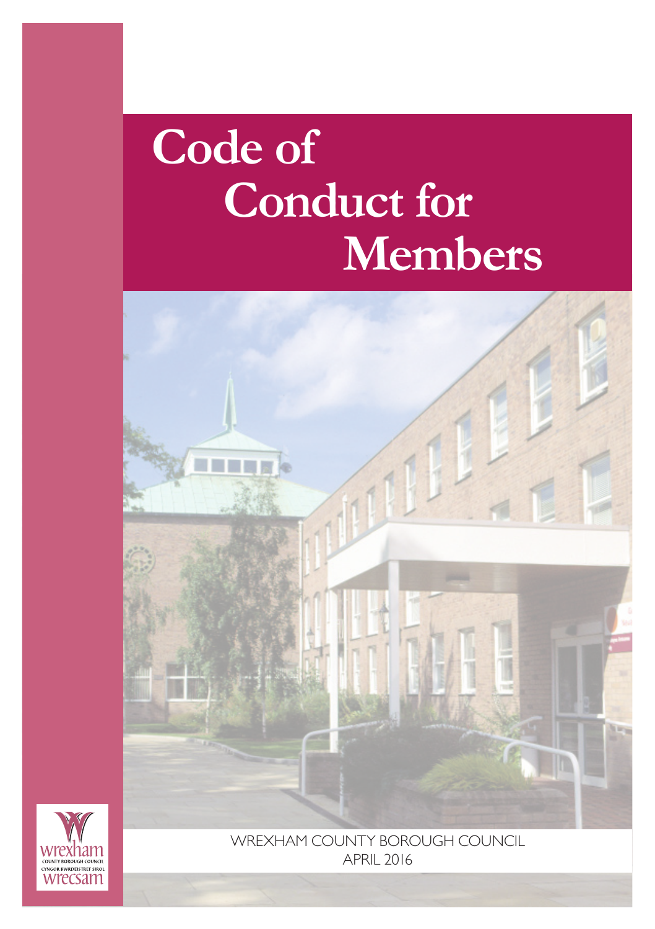# **Code of Conduct for Members**



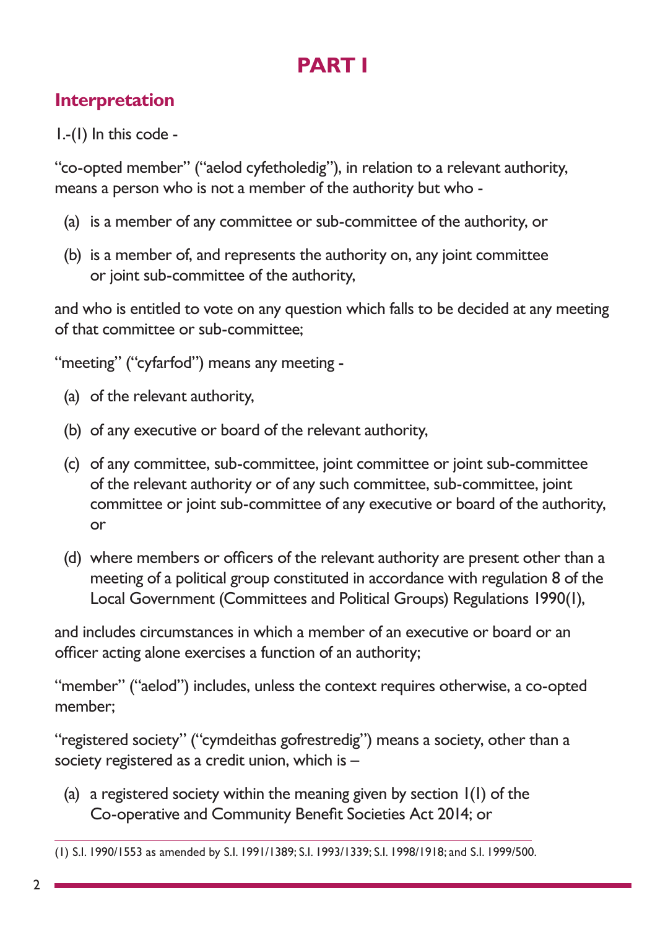# **PART I**

# **Interpretation**

1.-(1) In this code -

"co-opted member" ("aelod cyfetholedig"), in relation to a relevant authority, means a person who is not a member of the authority but who -

- (a) is a member of any committee or sub-committee of the authority, or
- (b) is a member of, and represents the authority on, any joint committee or joint sub-committee of the authority,

and who is entitled to vote on any question which falls to be decided at any meeting of that committee or sub-committee;

"meeting" ("cyfarfod") means any meeting -

- (a) of the relevant authority,
- (b) of any executive or board of the relevant authority,
- (c) of any committee, sub-committee, joint committee or joint sub-committee of the relevant authority or of any such committee, sub-committee, joint committee or joint sub-committee of any executive or board of the authority, or
- (d) where members or officers of the relevant authority are present other than a meeting of a political group constituted in accordance with regulation 8 of the Local Government (Committees and Political Groups) Regulations 1990(1),

and includes circumstances in which a member of an executive or board or an officer acting alone exercises a function of an authority;

"member" ("aelod") includes, unless the context requires otherwise, a co-opted member;

"registered society" ("cymdeithas gofrestredig") means a society, other than a society registered as a credit union, which is –

(a) a registered society within the meaning given by section 1(1) of the Co-operative and Community Benefit Societies Act 2014; or

<sup>(1)</sup> S.I. 1990/1553 as amended by S.I. 1991/1389; S.I. 1993/1339; S.I. 1998/1918; and S.I. 1999/500.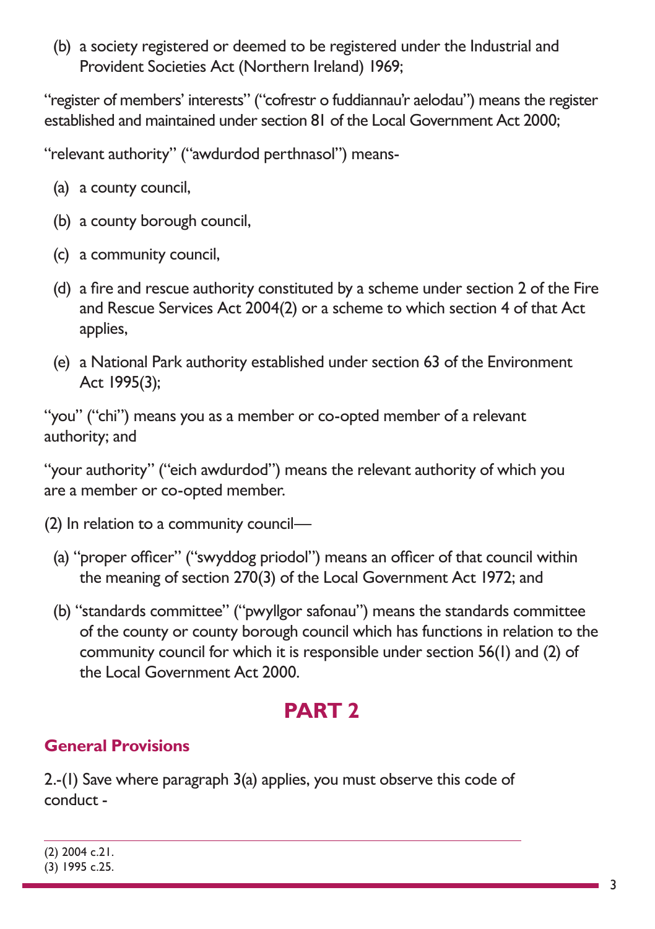(b) a society registered or deemed to be registered under the Industrial and Provident Societies Act (Northern Ireland) 1969;

"register of members' interests" ("cofrestr o fuddiannau'r aelodau") means the register established and maintained under section 81 of the Local Government Act 2000;

"relevant authority" ("awdurdod perthnasol") means-

- (a) a county council,
- (b) a county borough council,
- (c) a community council,
- (d) a fire and rescue authority constituted by a scheme under section 2 of the Fire and Rescue Services Act 2004(2) or a scheme to which section 4 of that Act applies,
- (e) a National Park authority established under section 63 of the Environment Act 1995(3);

"you" ("chi") means you as a member or co-opted member of a relevant authority; and

"your authority" ("eich awdurdod") means the relevant authority of which you are a member or co-opted member.

(2) In relation to a community council—

- (a) "proper officer" ("swyddog priodol") means an officer of that council within the meaning of section 270(3) of the Local Government Act 1972; and
- (b) "standards committee" ("pwyllgor safonau") means the standards committee of the county or county borough council which has functions in relation to the community council for which it is responsible under section 56(1) and (2) of the Local Government Act 2000.

# **PART 2**

# **General Provisions**

2.-(1) Save where paragraph 3(a) applies, you must observe this code of conduct -

<sup>(2) 2004</sup> c.21.

<sup>(3) 1995</sup> c.25.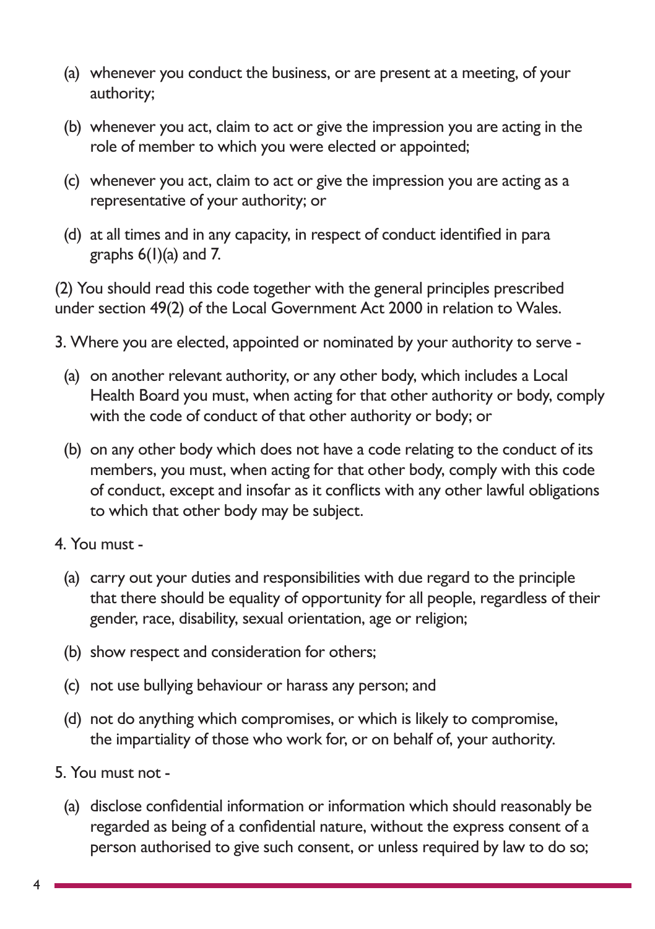- (a) whenever you conduct the business, or are present at a meeting, of your authority;
- (b) whenever you act, claim to act or give the impression you are acting in the role of member to which you were elected or appointed;
- (c) whenever you act, claim to act or give the impression you are acting as a representative of your authority; or
- (d) at all times and in any capacity, in respect of conduct identified in para graphs 6(1)(a) and 7.

(2) You should read this code together with the general principles prescribed under section 49(2) of the Local Government Act 2000 in relation to Wales.

- 3. Where you are elected, appointed or nominated by your authority to serve
	- (a) on another relevant authority, or any other body, which includes a Local Health Board you must, when acting for that other authority or body, comply with the code of conduct of that other authority or body; or
	- (b) on any other body which does not have a code relating to the conduct of its members, you must, when acting for that other body, comply with this code of conduct, except and insofar as it conflicts with any other lawful obligations to which that other body may be subject.
- 4. You must
	- (a) carry out your duties and responsibilities with due regard to the principle that there should be equality of opportunity for all people, regardless of their gender, race, disability, sexual orientation, age or religion;
	- (b) show respect and consideration for others;
	- (c) not use bullying behaviour or harass any person; and
	- (d) not do anything which compromises, or which is likely to compromise, the impartiality of those who work for, or on behalf of, your authority.
- 5. You must not
	- (a) disclose confidential information or information which should reasonably be regarded as being of a confidential nature, without the express consent of a person authorised to give such consent, or unless required by law to do so;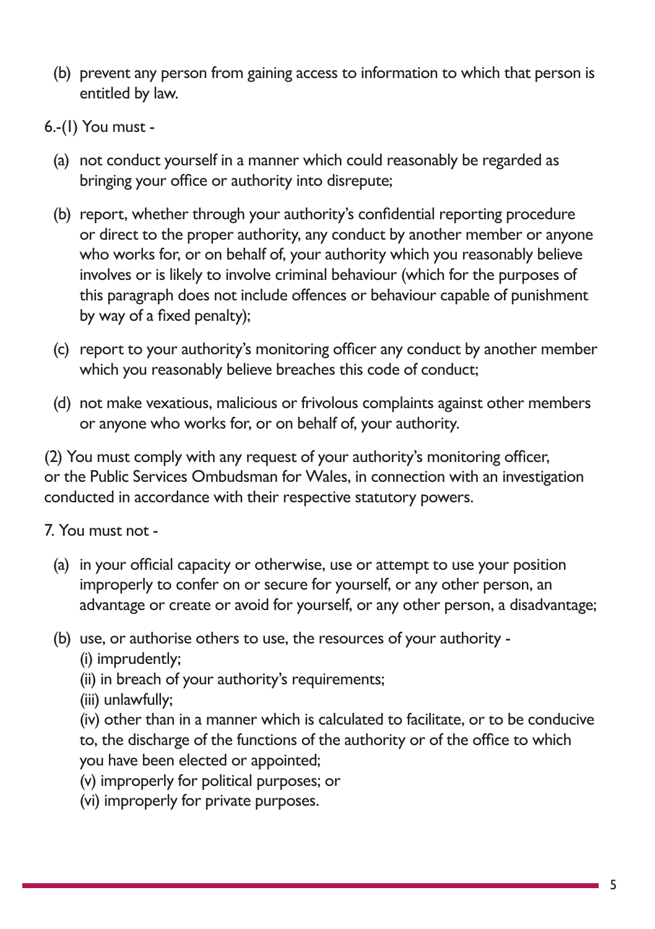- (b) prevent any person from gaining access to information to which that person is entitled by law.
- 6.-(1) You must
	- (a) not conduct yourself in a manner which could reasonably be regarded as bringing your office or authority into disrepute;
	- (b) report, whether through your authority's confidential reporting procedure or direct to the proper authority, any conduct by another member or anyone who works for, or on behalf of, your authority which you reasonably believe involves or is likely to involve criminal behaviour (which for the purposes of this paragraph does not include offences or behaviour capable of punishment by way of a fixed penalty);
	- (c) report to your authority's monitoring officer any conduct by another member which you reasonably believe breaches this code of conduct;
	- (d) not make vexatious, malicious or frivolous complaints against other members or anyone who works for, or on behalf of, your authority.

(2) You must comply with any request of your authority's monitoring officer, or the Public Services Ombudsman for Wales, in connection with an investigation conducted in accordance with their respective statutory powers.

7. You must not -

- (a) in your official capacity or otherwise, use or attempt to use your position improperly to confer on or secure for yourself, or any other person, an advantage or create or avoid for yourself, or any other person, a disadvantage;
- (b) use, or authorise others to use, the resources of your authority
	- (i) imprudently;
	- (ii) in breach of your authority's requirements;
	- (iii) unlawfully;

(iv) other than in a manner which is calculated to facilitate, or to be conducive to, the discharge of the functions of the authority or of the office to which you have been elected or appointed;

- (v) improperly for political purposes; or
- (vi) improperly for private purposes.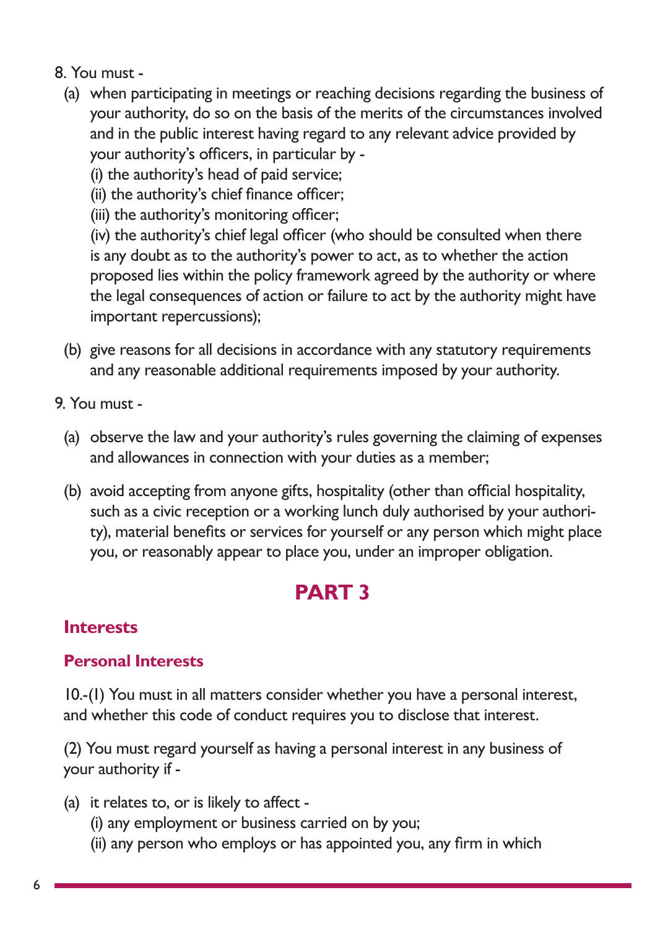## 8. You must -

(a) when participating in meetings or reaching decisions regarding the business of your authority, do so on the basis of the merits of the circumstances involved and in the public interest having regard to any relevant advice provided by your authority's officers, in particular by -

(i) the authority's head of paid service;

(ii) the authority's chief finance officer;

(iii) the authority's monitoring officer;

(iv) the authority's chief legal officer (who should be consulted when there is any doubt as to the authority's power to act, as to whether the action proposed lies within the policy framework agreed by the authority or where the legal consequences of action or failure to act by the authority might have important repercussions);

- (b) give reasons for all decisions in accordance with any statutory requirements and any reasonable additional requirements imposed by your authority.
- 9. You must
	- (a) observe the law and your authority's rules governing the claiming of expenses and allowances in connection with your duties as a member;
	- (b) avoid accepting from anyone gifts, hospitality (other than official hospitality, such as a civic reception or a working lunch duly authorised by your authority), material benefits or services for yourself or any person which might place you, or reasonably appear to place you, under an improper obligation.

# **PART 3**

## **Interests**

### **Personal Interests**

10.-(1) You must in all matters consider whether you have a personal interest, and whether this code of conduct requires you to disclose that interest.

(2) You must regard yourself as having a personal interest in any business of your authority if -

- (a) it relates to, or is likely to affect
	- (i) any employment or business carried on by you;
	- (ii) any person who employs or has appointed you, any firm in which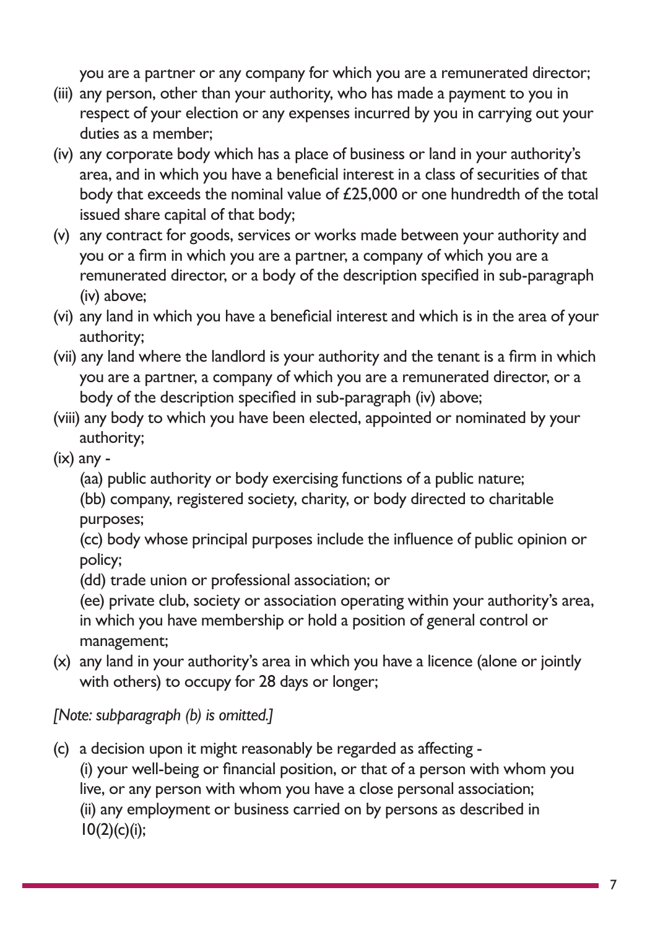you are a partner or any company for which you are a remunerated director;

- (iii) any person, other than your authority, who has made a payment to you in respect of your election or any expenses incurred by you in carrying out your duties as a member;
- (iv) any corporate body which has a place of business or land in your authority's area, and in which you have a beneficial interest in a class of securities of that body that exceeds the nominal value of £25,000 or one hundredth of the total issued share capital of that body;
- (v) any contract for goods, services or works made between your authority and you or a firm in which you are a partner, a company of which you are a remunerated director, or a body of the description specified in sub-paragraph (iv) above;
- (vi) any land in which you have a beneficial interest and which is in the area of your authority;
- (vii) any land where the landlord is your authority and the tenant is a firm in which you are a partner, a company of which you are a remunerated director, or a body of the description specified in sub-paragraph (iv) above;
- (viii) any body to which you have been elected, appointed or nominated by your authority;
- (ix) any -

(aa) public authority or body exercising functions of a public nature;

(bb) company, registered society, charity, or body directed to charitable purposes;

(cc) body whose principal purposes include the influence of public opinion or policy;

(dd) trade union or professional association; or

(ee) private club, society or association operating within your authority's area, in which you have membership or hold a position of general control or management;

(x) any land in your authority's area in which you have a licence (alone or jointly with others) to occupy for 28 days or longer;

*[Note: subparagraph (b) is omitted.]*

(c) a decision upon it might reasonably be regarded as affecting - (i) your well-being or financial position, or that of a person with whom you live, or any person with whom you have a close personal association; (ii) any employment or business carried on by persons as described in  $10(2)(c)(i)$ ;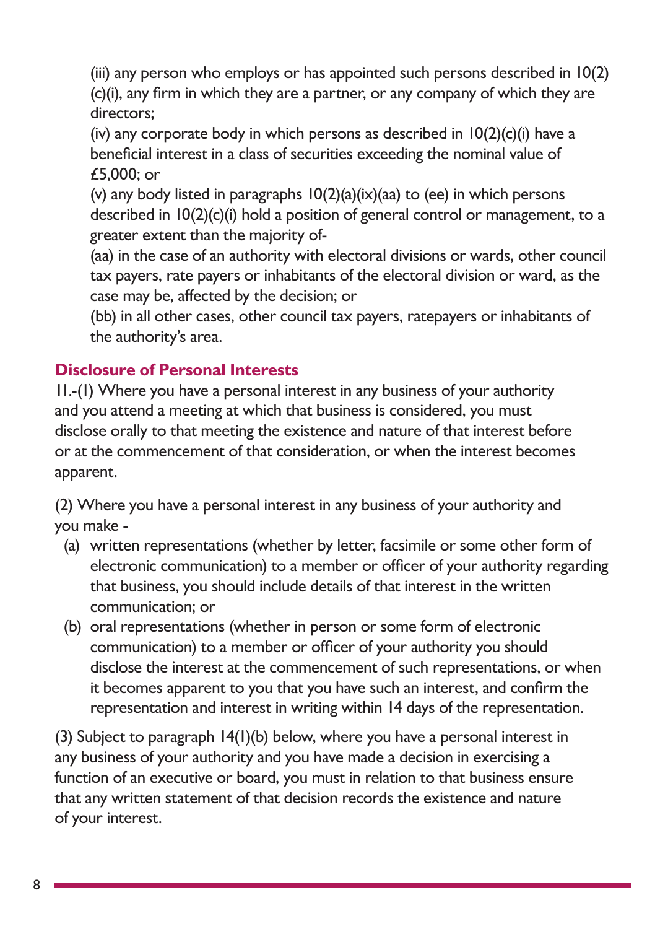(iii) any person who employs or has appointed such persons described in 10(2) (c)(i), any firm in which they are a partner, or any company of which they are directors;

(iv) any corporate body in which persons as described in  $10(2)(c)(i)$  have a beneficial interest in a class of securities exceeding the nominal value of £5,000; or

(v) any body listed in paragraphs  $10(2)(a)(ix)(aa)$  to (ee) in which persons described in 10(2)(c)(i) hold a position of general control or management, to a greater extent than the majority of-

(aa) in the case of an authority with electoral divisions or wards, other council tax payers, rate payers or inhabitants of the electoral division or ward, as the case may be, affected by the decision; or

(bb) in all other cases, other council tax payers, ratepayers or inhabitants of the authority's area.

## **Disclosure of Personal Interests**

11.-(1) Where you have a personal interest in any business of your authority and you attend a meeting at which that business is considered, you must disclose orally to that meeting the existence and nature of that interest before or at the commencement of that consideration, or when the interest becomes apparent.

(2) Where you have a personal interest in any business of your authority and you make -

- (a) written representations (whether by letter, facsimile or some other form of electronic communication) to a member or officer of your authority regarding that business, you should include details of that interest in the written communication; or
- (b) oral representations (whether in person or some form of electronic communication) to a member or officer of your authority you should disclose the interest at the commencement of such representations, or when it becomes apparent to you that you have such an interest, and confirm the representation and interest in writing within 14 days of the representation.

(3) Subject to paragraph 14(1)(b) below, where you have a personal interest in any business of your authority and you have made a decision in exercising a function of an executive or board, you must in relation to that business ensure that any written statement of that decision records the existence and nature of your interest.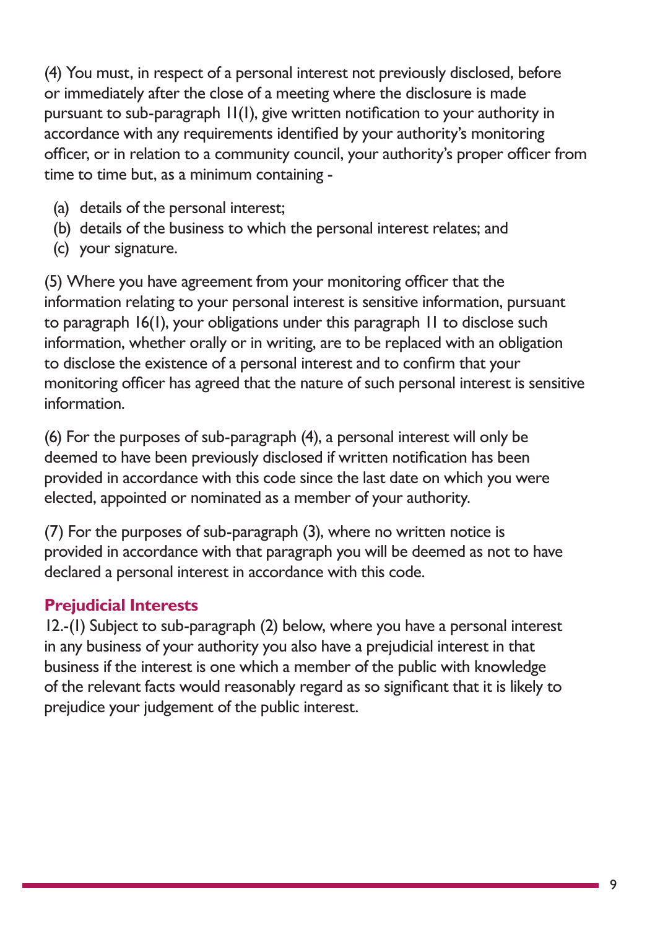(4) You must, in respect of a personal interest not previously disclosed, before or immediately after the close of a meeting where the disclosure is made pursuant to sub-paragraph 11(1), give written notification to your authority in accordance with any requirements identified by your authority's monitoring officer, or in relation to a community council, your authority's proper officer from time to time but, as a minimum containing -

- (a) details of the personal interest;
- (b) details of the business to which the personal interest relates; and
- (c) your signature.

(5) Where you have agreement from your monitoring officer that the information relating to your personal interest is sensitive information, pursuant to paragraph 16(1), your obligations under this paragraph 11 to disclose such information, whether orally or in writing, are to be replaced with an obligation to disclose the existence of a personal interest and to confirm that your monitoring officer has agreed that the nature of such personal interest is sensitive information.

(6) For the purposes of sub-paragraph (4), a personal interest will only be deemed to have been previously disclosed if written notification has been provided in accordance with this code since the last date on which you were elected, appointed or nominated as a member of your authority.

(7) For the purposes of sub-paragraph (3), where no written notice is provided in accordance with that paragraph you will be deemed as not to have declared a personal interest in accordance with this code.

## **Prejudicial Interests**

12.-(1) Subject to sub-paragraph (2) below, where you have a personal interest in any business of your authority you also have a prejudicial interest in that business if the interest is one which a member of the public with knowledge of the relevant facts would reasonably regard as so significant that it is likely to prejudice your judgement of the public interest.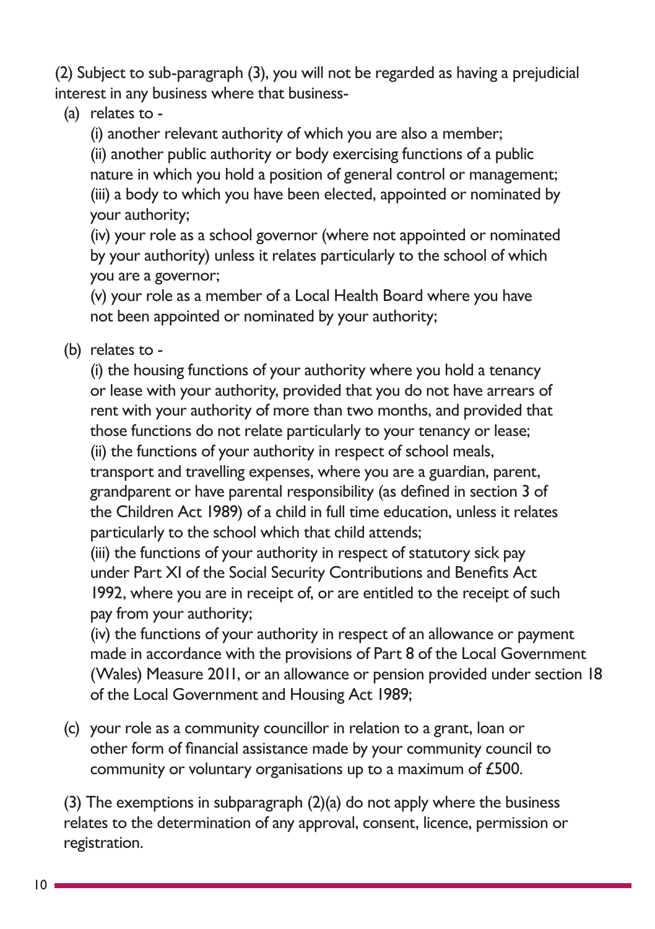(2) Subject to sub-paragraph (3), you will not be regarded as having a prejudicial interest in any business where that business-

(a) relates to -

(i) another relevant authority of which you are also a member;

(ii) another public authority or body exercising functions of a public nature in which you hold a position of general control or management; (iii) a body to which you have been elected, appointed or nominated by your authority;

(iv) your role as a school governor (where not appointed or nominated by your authority) unless it relates particularly to the school of which you are a governor;

(v) your role as a member of a Local Health Board where you have not been appointed or nominated by your authority;

(b) relates to -

(i) the housing functions of your authority where you hold a tenancy or lease with your authority, provided that you do not have arrears of rent with your authority of more than two months, and provided that those functions do not relate particularly to your tenancy or lease; (ii) the functions of your authority in respect of school meals, transport and travelling expenses, where you are a guardian, parent, grandparent or have parental responsibility (as defined in section 3 of the Children Act 1989) of a child in full time education, unless it relates

particularly to the school which that child attends; (iii) the functions of your authority in respect of statutory sick pay under Part XI of the Social Security Contributions and Benefits Act 1992, where you are in receipt of, or are entitled to the receipt of such

pay from your authority;

(iv) the functions of your authority in respect of an allowance or payment made in accordance with the provisions of Part 8 of the Local Government (Wales) Measure 2011, or an allowance or pension provided under section 18 of the Local Government and Housing Act 1989;

(c) your role as a community councillor in relation to a grant, loan or other form of financial assistance made by your community council to community or voluntary organisations up to a maximum of £500.

(3) The exemptions in subparagraph (2)(a) do not apply where the business relates to the determination of any approval, consent, licence, permission or registration.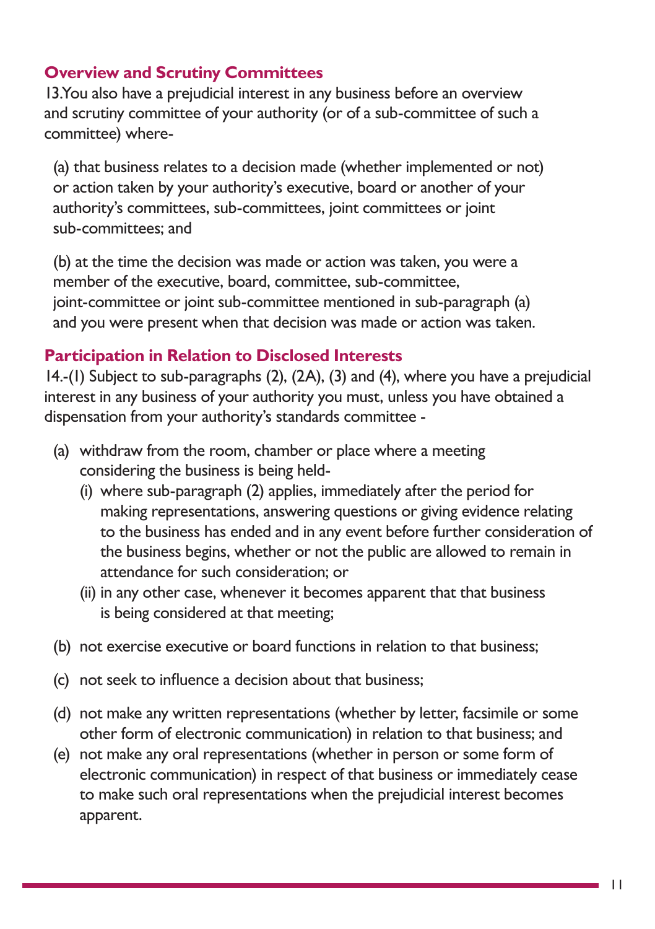## **Overview and Scrutiny Committees**

13.You also have a prejudicial interest in any business before an overview and scrutiny committee of your authority (or of a sub-committee of such a committee) where-

(a) that business relates to a decision made (whether implemented or not) or action taken by your authority's executive, board or another of your authority's committees, sub-committees, joint committees or joint sub-committees; and

(b) at the time the decision was made or action was taken, you were a member of the executive, board, committee, sub-committee, joint-committee or joint sub-committee mentioned in sub-paragraph (a) and you were present when that decision was made or action was taken.

#### **Participation in Relation to Disclosed Interests**

14.-(1) Subject to sub-paragraphs (2), (2A), (3) and (4), where you have a prejudicial interest in any business of your authority you must, unless you have obtained a dispensation from your authority's standards committee -

- (a) withdraw from the room, chamber or place where a meeting considering the business is being held-
	- (i) where sub-paragraph (2) applies, immediately after the period for making representations, answering questions or giving evidence relating to the business has ended and in any event before further consideration of the business begins, whether or not the public are allowed to remain in attendance for such consideration; or
	- (ii) in any other case, whenever it becomes apparent that that business is being considered at that meeting;
- (b) not exercise executive or board functions in relation to that business;
- (c) not seek to influence a decision about that business;
- (d) not make any written representations (whether by letter, facsimile or some other form of electronic communication) in relation to that business; and
- (e) not make any oral representations (whether in person or some form of electronic communication) in respect of that business or immediately cease to make such oral representations when the prejudicial interest becomes apparent.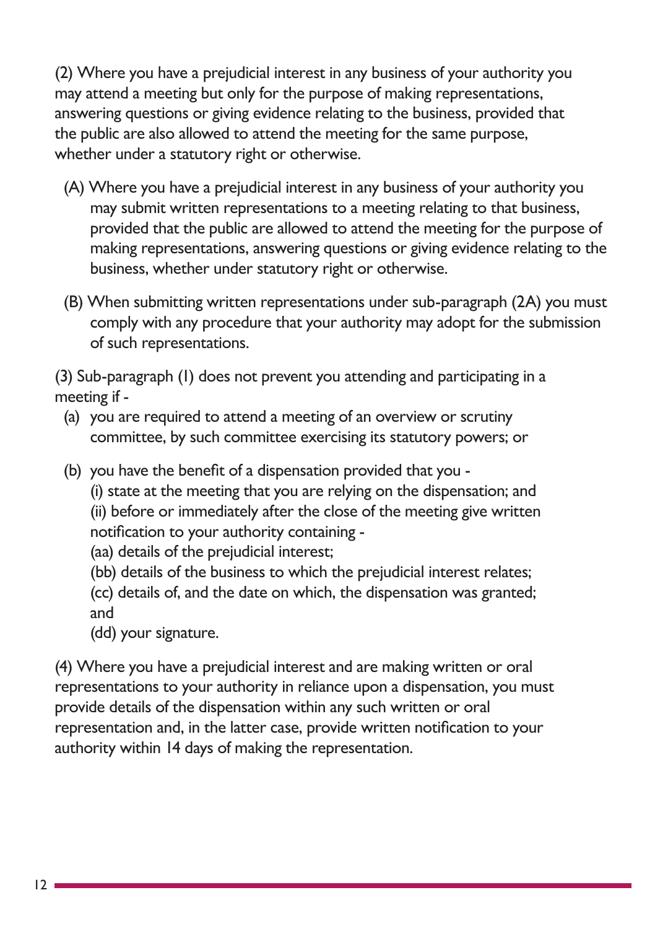(2) Where you have a prejudicial interest in any business of your authority you may attend a meeting but only for the purpose of making representations, answering questions or giving evidence relating to the business, provided that the public are also allowed to attend the meeting for the same purpose, whether under a statutory right or otherwise.

- (A) Where you have a prejudicial interest in any business of your authority you may submit written representations to a meeting relating to that business, provided that the public are allowed to attend the meeting for the purpose of making representations, answering questions or giving evidence relating to the business, whether under statutory right or otherwise.
- (B) When submitting written representations under sub-paragraph (2A) you must comply with any procedure that your authority may adopt for the submission of such representations.

(3) Sub-paragraph (1) does not prevent you attending and participating in a meeting if -

- (a) you are required to attend a meeting of an overview or scrutiny committee, by such committee exercising its statutory powers; or
- (b) you have the benefit of a dispensation provided that you
	- (i) state at the meeting that you are relying on the dispensation; and (ii) before or immediately after the close of the meeting give written notification to your authority containing -
	- (aa) details of the prejudicial interest;
	- (bb) details of the business to which the prejudicial interest relates;
	- (cc) details of, and the date on which, the dispensation was granted; and
	- (dd) your signature.

(4) Where you have a prejudicial interest and are making written or oral representations to your authority in reliance upon a dispensation, you must provide details of the dispensation within any such written or oral representation and, in the latter case, provide written notification to your authority within 14 days of making the representation.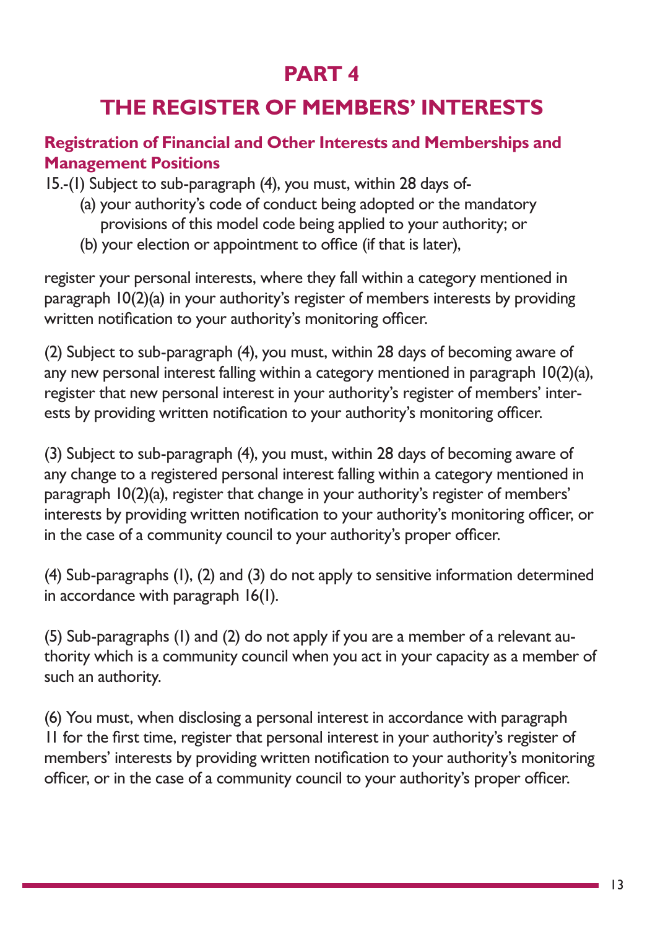# **PART 4**

# **THE REGISTER OF MEMBERS' INTERESTS**

#### **Registration of Financial and Other Interests and Memberships and Management Positions**

15.-(1) Subject to sub-paragraph (4), you must, within 28 days of-

- (a) your authority's code of conduct being adopted or the mandatory provisions of this model code being applied to your authority; or
- (b) your election or appointment to office (if that is later),

register your personal interests, where they fall within a category mentioned in paragraph 10(2)(a) in your authority's register of members interests by providing written notification to your authority's monitoring officer.

(2) Subject to sub-paragraph (4), you must, within 28 days of becoming aware of any new personal interest falling within a category mentioned in paragraph 10(2)(a), register that new personal interest in your authority's register of members' interests by providing written notification to your authority's monitoring officer.

(3) Subject to sub-paragraph (4), you must, within 28 days of becoming aware of any change to a registered personal interest falling within a category mentioned in paragraph 10(2)(a), register that change in your authority's register of members' interests by providing written notification to your authority's monitoring officer, or in the case of a community council to your authority's proper officer.

(4) Sub-paragraphs (1), (2) and (3) do not apply to sensitive information determined in accordance with paragraph 16(1).

(5) Sub-paragraphs (1) and (2) do not apply if you are a member of a relevant authority which is a community council when you act in your capacity as a member of such an authority.

(6) You must, when disclosing a personal interest in accordance with paragraph 11 for the first time, register that personal interest in your authority's register of members' interests by providing written notification to your authority's monitoring officer, or in the case of a community council to your authority's proper officer.